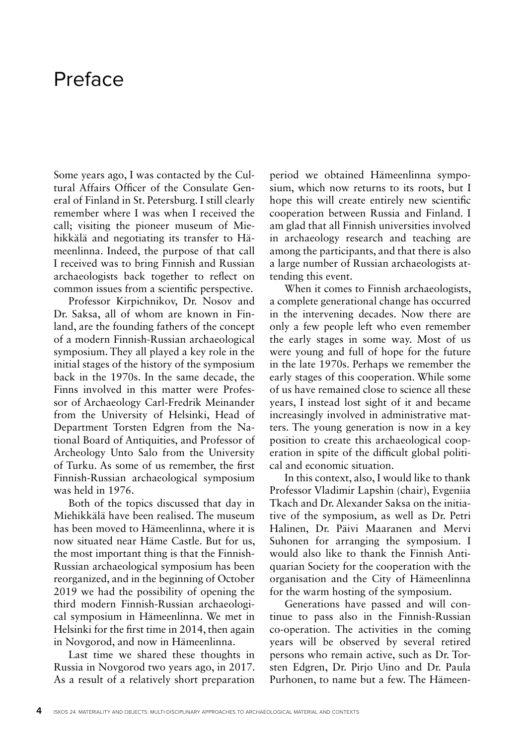## Preface

Some years ago, I was contacted by the Cultural Affairs Officer of the Consulate General of Finland in St. Petersburg. I still clearly remember where I was when I received the call; visiting the pioneer museum of Miehikkälä and negotiating its transfer to Hämeenlinna. Indeed, the purpose of that call I received was to bring Finnish and Russian archaeologists back together to reflect on common issues from a scientific perspective.

Professor Kirpichnikov, Dr. Nosov and Dr. Saksa, all of whom are known in Finland, are the founding fathers of the concept of a modern Finnish-Russian archaeological symposium. They all played a key role in the initial stages of the history of the symposium back in the 1970s. In the same decade, the Finns involved in this matter were Professor of Archaeology Carl-Fredrik Meinander from the University of Helsinki, Head of Department Torsten Edgren from the National Board of Antiquities, and Professor of Archeology Unto Salo from the University of Turku. As some of us remember, the first Finnish-Russian archaeological symposium was held in 1976.

Both of the topics discussed that day in Miehikkälä have been realised. The museum has been moved to Hämeenlinna, where it is now situated near Häme Castle. But for us, the most important thing is that the Finnish-Russian archaeological symposium has been reorganized, and in the beginning of October 2019 we had the possibility of opening the third modern Finnish-Russian archaeological symposium in Hämeenlinna. We met in Helsinki for the first time in 2014, then again in Novgorod, and now in Hämeenlinna.

Last time we shared these thoughts in Russia in Novgorod two years ago, in 2017. As a result of a relatively short preparation

period we obtained Hämeenlinna symposium, which now returns to its roots, but I hope this will create entirely new scientific cooperation between Russia and Finland. I am glad that all Finnish universities involved in archaeology research and teaching are among the participants, and that there is also a large number of Russian archaeologists attending this event.

When it comes to Finnish archaeologists, a complete generational change has occurred in the intervening decades. Now there are only a few people left who even remember the early stages in some way. Most of us were young and full of hope for the future in the late 1970s. Perhaps we remember the early stages of this cooperation. While some of us have remained close to science all these years, I instead lost sight of it and became increasingly involved in administrative matters. The young generation is now in a key position to create this archaeological cooperation in spite of the difficult global political and economic situation.

In this context, also, I would like to thank Professor Vladimir Lapshin (chair), Evgeniia Tkach and Dr. Alexander Saksa on the initiative of the symposium, as well as Dr. Petri Halinen, Dr. Päivi Maaranen and Mervi Suhonen for arranging the symposium. I would also like to thank the Finnish Antiquarian Society for the cooperation with the organisation and the City of Hämeenlinna for the warm hosting of the symposium.

Generations have passed and will continue to pass also in the Finnish-Russian co-operation. The activities in the coming years will be observed by several retired persons who remain active, such as Dr. Torsten Edgren, Dr. Pirjo Uino and Dr. Paula Purhonen, to name but a few. The Hämeen-